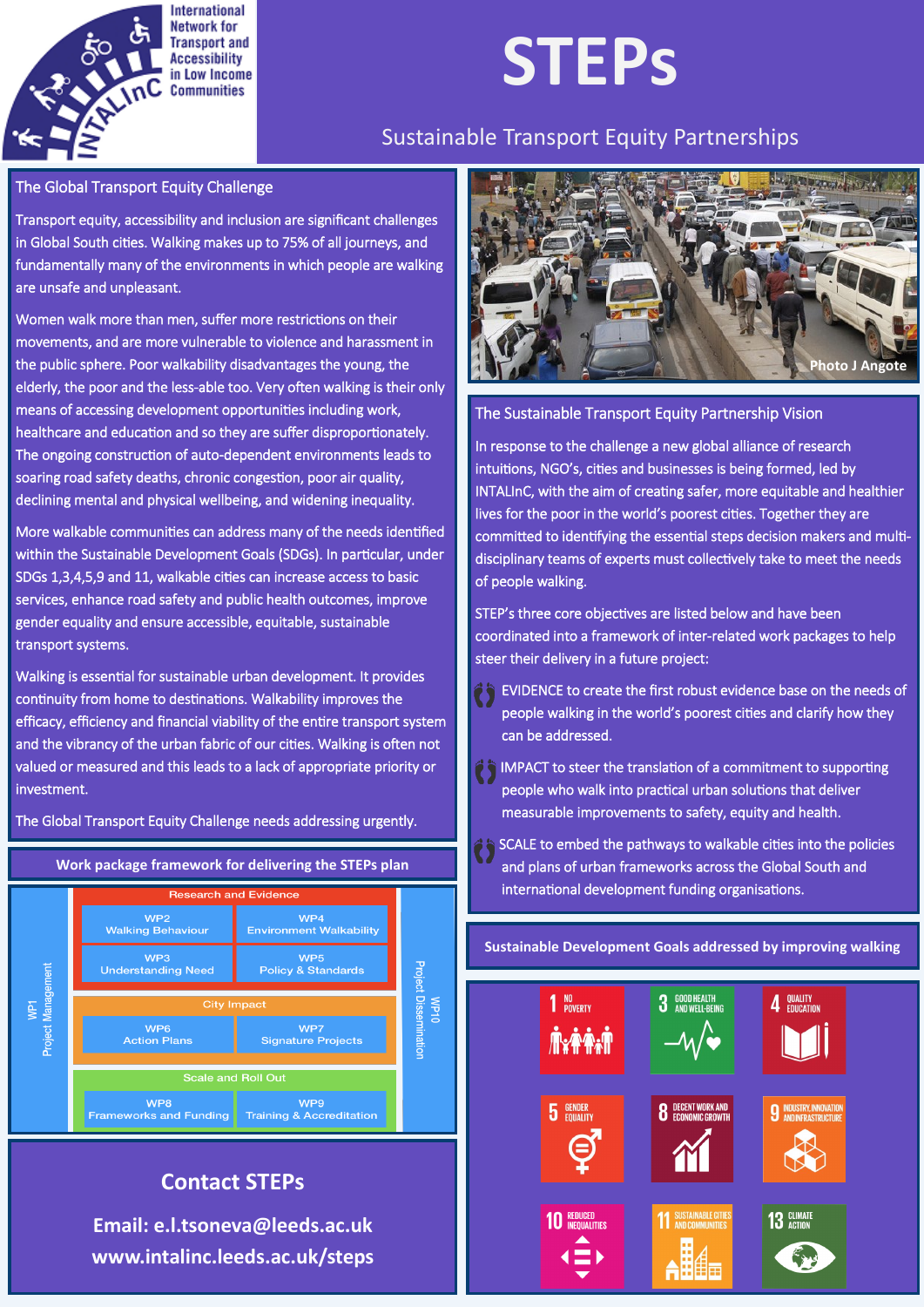

# **STEPs**

## Sustainable Transport Equity Partnerships

#### The Global Transport Equity Challenge

Transport equity, accessibility and inclusion are significant challenges in Global South cities. Walking makes up to 75% of all journeys, and fundamentally many of the environments in which people are walking are unsafe and unpleasant.

Women walk more than men, suffer more restrictions on their movements, and are more vulnerable to violence and harassment in the public sphere. Poor walkability disadvantages the young, the elderly, the poor and the less-able too. Very often walking is their only means of accessing development opportunities including work, healthcare and education and so they are suffer disproportionately. The ongoing construction of auto-dependent environments leads to soaring road safety deaths, chronic congestion, poor air quality, declining mental and physical wellbeing, and widening inequality.

More walkable communities can address many of the needs identified within the Sustainable Development Goals (SDGs). In particular, under SDGs 1,3,4,5,9 and 11, walkable cities can increase access to basic services, enhance road safety and public health outcomes, improve gender equality and ensure accessible, equitable, sustainable transport systems.

Walking is essential for sustainable urban development. It provides continuity from home to destinations. Walkability improves the efficacy, efficiency and financial viability of the entire transport system and the vibrancy of the urban fabric of our cities. Walking is often not valued or measured and this leads to a lack of appropriate priority or investment.

The Global Transport Equity Challenge needs addressing urgently.



## **Contact STEPs**

**Email: e.l.tsoneva@leeds.ac.uk www.intalinc.leeds.ac.uk/steps**



#### The Sustainable Transport Equity Partnership Vision

In response to the challenge a new global alliance of research intuitions, NGO's, cities and businesses is being formed, led by INTALInC, with the aim of creating safer, more equitable and healthier lives for the poor in the world's poorest cities. Together they are committed to identifying the essential steps decision makers and multidisciplinary teams of experts must collectively take to meet the needs of people walking.

STEP's three core objectives are listed below and have been coordinated into a framework of inter-related work packages to help steer their delivery in a future project:

- **EVIDENCE to create the first robust evidence base on the needs of** people walking in the world's poorest cities and clarify how they can be addressed.
- **i** imprints in the translation of a commitment to supporting people who walk into practical urban solutions that deliver measurable improvements to safety, equity and health.
- SCALE to embed the pathways to walkable cities into the policies and plans of urban frameworks across the Global South and international development funding organisations.

**Sustainable Development Goals addressed by improving walking**

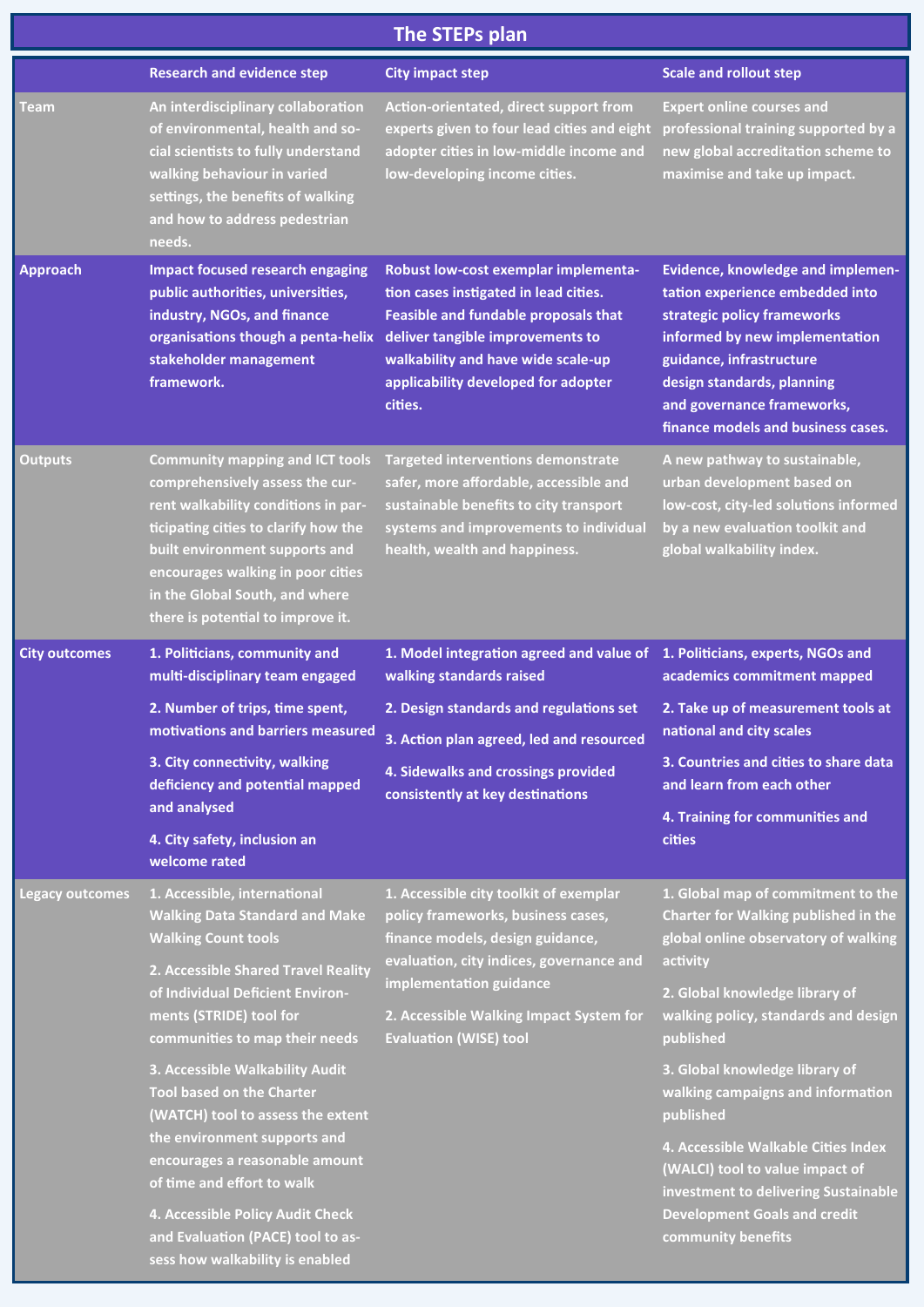| The STEPs plan         |                                                                                                                                                                                                                                                                                                        |                                                                                                                                                                                                                                                                     |                                                                                                                                                                                                                                                                            |
|------------------------|--------------------------------------------------------------------------------------------------------------------------------------------------------------------------------------------------------------------------------------------------------------------------------------------------------|---------------------------------------------------------------------------------------------------------------------------------------------------------------------------------------------------------------------------------------------------------------------|----------------------------------------------------------------------------------------------------------------------------------------------------------------------------------------------------------------------------------------------------------------------------|
|                        | <b>Research and evidence step</b>                                                                                                                                                                                                                                                                      | <b>City impact step</b>                                                                                                                                                                                                                                             | <b>Scale and rollout step</b>                                                                                                                                                                                                                                              |
| Team                   | An interdisciplinary collaboration<br>of environmental, health and so-<br>cial scientists to fully understand<br>walking behaviour in varied<br>settings, the benefits of walking<br>and how to address pedestrian<br>needs.                                                                           | Action-orientated, direct support from<br>experts given to four lead cities and eight<br>adopter cities in low-middle income and<br>low-developing income cities.                                                                                                   | <b>Expert online courses and</b><br>professional training supported by a<br>new global accreditation scheme to<br>maximise and take up impact.                                                                                                                             |
| <b>Approach</b>        | <b>Impact focused research engaging</b><br>public authorities, universities,<br>industry, NGOs, and finance<br>organisations though a penta-helix<br>stakeholder management<br>framework.                                                                                                              | Robust low-cost exemplar implementa-<br>tion cases instigated in lead cities.<br>Feasible and fundable proposals that<br>deliver tangible improvements to<br>walkability and have wide scale-up<br>applicability developed for adopter<br>cities.                   | <b>Evidence, knowledge and implemen-</b><br>tation experience embedded into<br>strategic policy frameworks<br>informed by new implementation<br>guidance, infrastructure<br>design standards, planning<br>and governance frameworks,<br>finance models and business cases. |
| <b>Outputs</b>         | <b>Community mapping and ICT tools</b><br>comprehensively assess the cur-<br>rent walkability conditions in par-<br>ticipating cities to clarify how the<br>built environment supports and<br>encourages walking in poor cities<br>in the Global South, and where<br>there is potential to improve it. | <b>Targeted interventions demonstrate</b><br>safer, more affordable, accessible and<br>sustainable benefits to city transport<br>systems and improvements to individual<br>health, wealth and happiness.                                                            | A new pathway to sustainable,<br>urban development based on<br>low-cost, city-led solutions informed<br>by a new evaluation toolkit and<br>global walkability index.                                                                                                       |
| <b>City outcomes</b>   | 1. Politicians, community and<br>multi-disciplinary team engaged                                                                                                                                                                                                                                       | 1. Model integration agreed and value of 1. Politicians, experts, NGOs and<br>walking standards raised                                                                                                                                                              | academics commitment mapped                                                                                                                                                                                                                                                |
|                        | 2. Number of trips, time spent,                                                                                                                                                                                                                                                                        | 2. Design standards and regulations set                                                                                                                                                                                                                             | 2. Take up of measurement tools at                                                                                                                                                                                                                                         |
|                        | motivations and barriers measured<br>3. City connectivity, walking                                                                                                                                                                                                                                     | 3. Action plan agreed, led and resourced                                                                                                                                                                                                                            | national and city scales<br>3. Countries and cities to share data                                                                                                                                                                                                          |
|                        | deficiency and potential mapped<br>and analysed                                                                                                                                                                                                                                                        | 4. Sidewalks and crossings provided<br>consistently at key destinations                                                                                                                                                                                             | and learn from each other                                                                                                                                                                                                                                                  |
|                        | 4. City safety, inclusion an                                                                                                                                                                                                                                                                           |                                                                                                                                                                                                                                                                     | 4. Training for communities and<br>cities                                                                                                                                                                                                                                  |
|                        | welcome rated                                                                                                                                                                                                                                                                                          |                                                                                                                                                                                                                                                                     |                                                                                                                                                                                                                                                                            |
| <b>Legacy outcomes</b> | 1. Accessible, international<br><b>Walking Data Standard and Make</b><br><b>Walking Count tools</b><br>2. Accessible Shared Travel Reality                                                                                                                                                             | 1. Accessible city toolkit of exemplar<br>policy frameworks, business cases,<br>finance models, design guidance,<br>evaluation, city indices, governance and<br>implementation guidance<br>2. Accessible Walking Impact System for<br><b>Evaluation (WISE) tool</b> | 1. Global map of commitment to the<br>Charter for Walking published in the<br>global online observatory of walking<br>activity                                                                                                                                             |
|                        | of Individual Deficient Environ-<br>ments (STRIDE) tool for<br>communities to map their needs                                                                                                                                                                                                          |                                                                                                                                                                                                                                                                     | 2. Global knowledge library of<br>walking policy, standards and design<br>published                                                                                                                                                                                        |
|                        | 3. Accessible Walkability Audit<br><b>Tool based on the Charter</b><br>(WATCH) tool to assess the extent                                                                                                                                                                                               |                                                                                                                                                                                                                                                                     | 3. Global knowledge library of<br>walking campaigns and information<br>published                                                                                                                                                                                           |
|                        | the environment supports and<br>encourages a reasonable amount<br>of time and effort to walk                                                                                                                                                                                                           |                                                                                                                                                                                                                                                                     | 4. Accessible Walkable Cities Index<br>(WALCI) tool to value impact of<br>investment to delivering Sustainable                                                                                                                                                             |
|                        | 4. Accessible Policy Audit Check<br>and Evaluation (PACE) tool to as-<br>sess how walkability is enabled                                                                                                                                                                                               |                                                                                                                                                                                                                                                                     | <b>Development Goals and credit</b><br>community benefits                                                                                                                                                                                                                  |